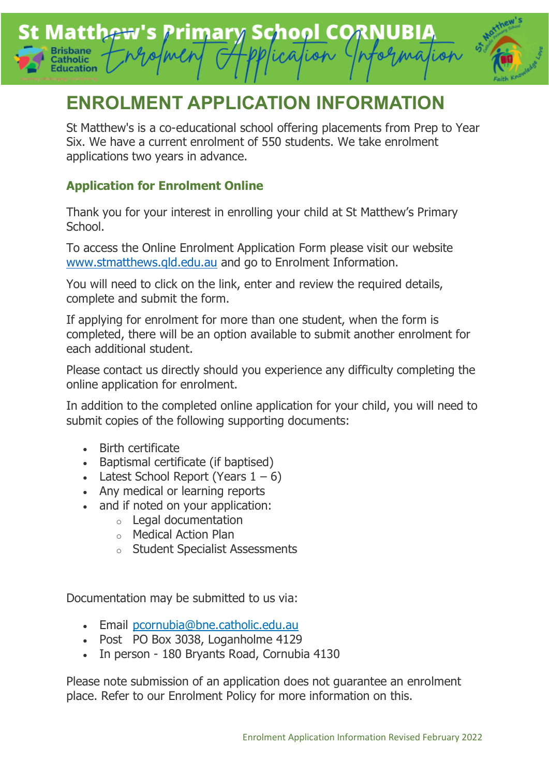## **Matthew's Primary School CORNUBIA** lion atholic **Education**



# **ENROLMENT APPLICATION INFORMATION**

St Matthew's is a co-educational school offering placements from Prep to Year Six. We have a current enrolment of 550 students. We take enrolment applications two years in advance.

## **Application for Enrolment Online**

Thank you for your interest in enrolling your child at St Matthew's Primary School.

To access the Online Enrolment Application Form please visit our website [www.stmatthews.qld.edu.au](http://www.stmatthews.qld.edu.au/) and go to Enrolment Information.

You will need to click on the link, enter and review the required details, complete and submit the form.

If applying for enrolment for more than one student, when the form is completed, there will be an option available to submit another enrolment for each additional student.

Please contact us directly should you experience any difficulty completing the online application for enrolment.

In addition to the completed online application for your child, you will need to submit copies of the following supporting documents:

- Birth certificate
- Baptismal certificate (if baptised)
- Latest School Report (Years  $1 6$ )
- Any medical or learning reports
- and if noted on your application:
	- o Legal documentation
	- o Medical Action Plan
	- o Student Specialist Assessments

Documentation may be submitted to us via:

- Email [pcornubia@bne.catholic.edu.au](mailto:pcornubia@bne.catholic.edu.au)
- Post PO Box 3038, Loganholme 4129
- In person 180 Bryants Road, Cornubia 4130

Please note submission of an application does not guarantee an enrolment place. Refer to our Enrolment Policy for more information on this.